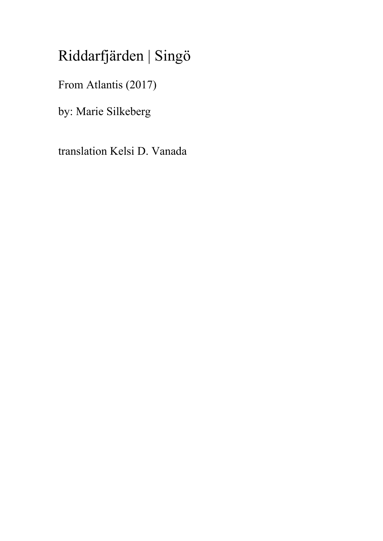## Riddarfjärden | Singö

From Atlantis (2017)

by: Marie Silkeberg

translation Kelsi D. Vanada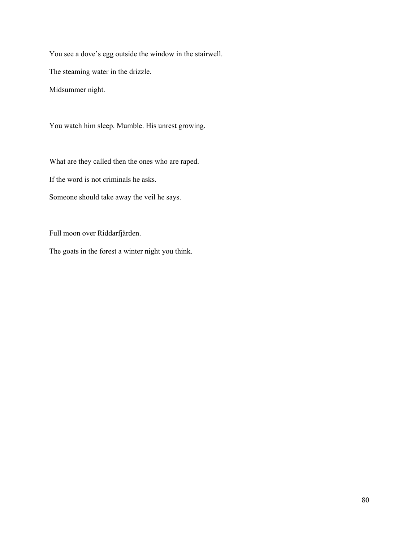You see a dove's egg outside the window in the stairwell.

The steaming water in the drizzle.

Midsummer night.

You watch him sleep. Mumble. His unrest growing.

What are they called then the ones who are raped. If the word is not criminals he asks.

Someone should take away the veil he says.

Full moon over Riddarfjärden.

The goats in the forest a winter night you think.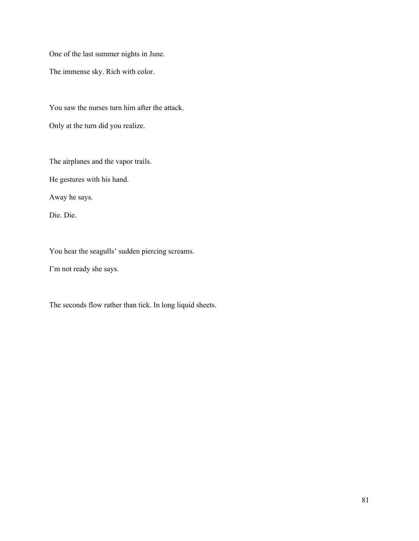One of the last summer nights in June.

The immense sky. Rich with color.

You saw the nurses turn him after the attack. Only at the turn did you realize.

The airplanes and the vapor trails.

He gestures with his hand.

Away he says.

Die. Die.

You hear the seagulls' sudden piercing screams.

I'm not ready she says.

The seconds flow rather than tick. In long liquid sheets.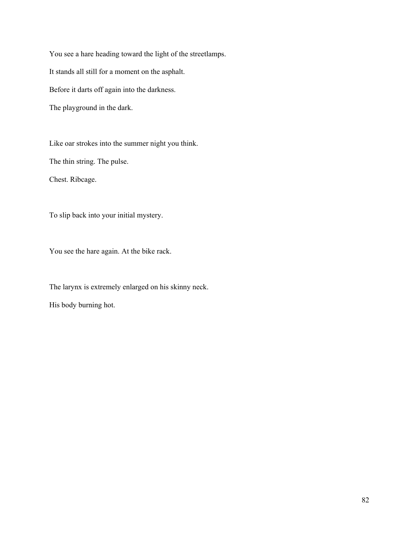You see a hare heading toward the light of the streetlamps. It stands all still for a moment on the asphalt. Before it darts off again into the darkness. The playground in the dark.

Like oar strokes into the summer night you think. The thin string. The pulse. Chest. Ribcage.

To slip back into your initial mystery.

You see the hare again. At the bike rack.

The larynx is extremely enlarged on his skinny neck. His body burning hot.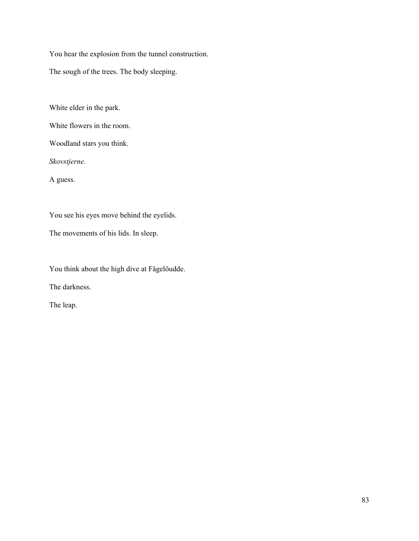You hear the explosion from the tunnel construction.

The sough of the trees. The body sleeping.

White elder in the park.

White flowers in the room.

Woodland stars you think.

*Skovstjerne.*

A guess.

You see his eyes move behind the eyelids.

The movements of his lids. In sleep.

You think about the high dive at Fågelöudde.

The darkness.

The leap.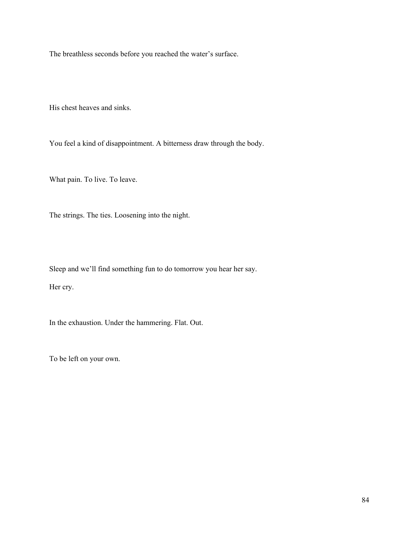The breathless seconds before you reached the water's surface.

His chest heaves and sinks.

You feel a kind of disappointment. A bitterness draw through the body.

What pain. To live. To leave.

The strings. The ties. Loosening into the night.

Sleep and we'll find something fun to do tomorrow you hear her say.

Her cry.

In the exhaustion. Under the hammering. Flat. Out.

To be left on your own.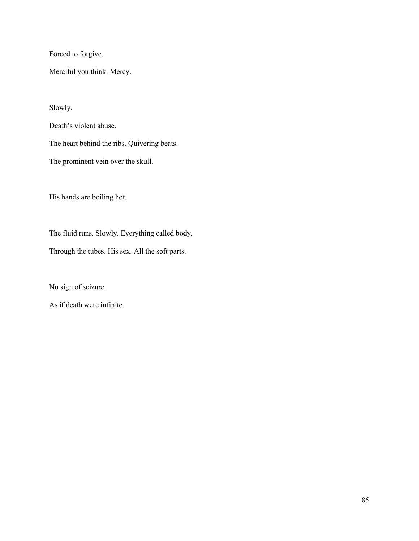Forced to forgive.

Merciful you think. Mercy.

Slowly.

Death's violent abuse.

The heart behind the ribs. Quivering beats.

The prominent vein over the skull.

His hands are boiling hot.

The fluid runs. Slowly. Everything called body.

Through the tubes. His sex. All the soft parts.

No sign of seizure.

As if death were infinite.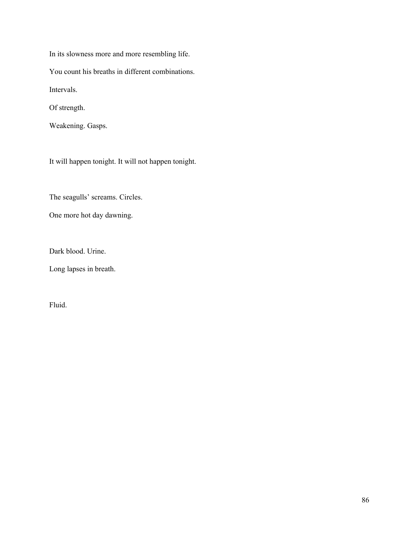In its slowness more and more resembling life. You count his breaths in different combinations. Intervals. Of strength. Weakening. Gasps.

It will happen tonight. It will not happen tonight.

The seagulls' screams. Circles.

One more hot day dawning.

Dark blood. Urine.

Long lapses in breath.

Fluid.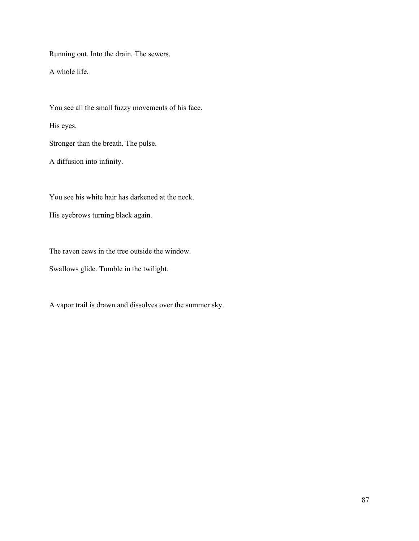Running out. Into the drain. The sewers.

A whole life.

You see all the small fuzzy movements of his face. His eyes. Stronger than the breath. The pulse. A diffusion into infinity.

You see his white hair has darkened at the neck.

His eyebrows turning black again.

The raven caws in the tree outside the window.

Swallows glide. Tumble in the twilight.

A vapor trail is drawn and dissolves over the summer sky.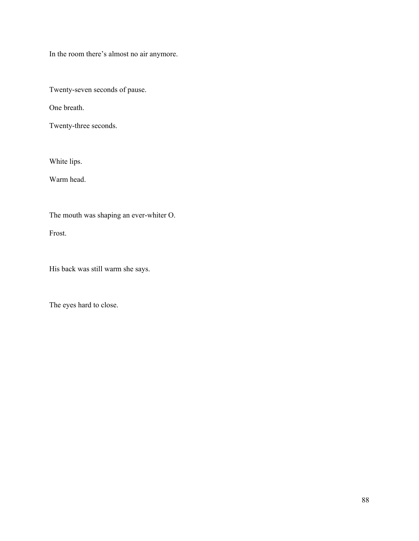In the room there's almost no air anymore.

Twenty-seven seconds of pause.

One breath.

Twenty-three seconds.

White lips.

Warm head.

The mouth was shaping an ever-whiter O.

Frost.

His back was still warm she says.

The eyes hard to close.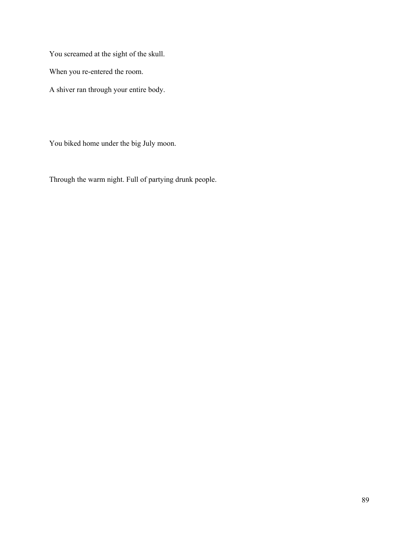You screamed at the sight of the skull.

When you re-entered the room.

A shiver ran through your entire body.

You biked home under the big July moon.

Through the warm night. Full of partying drunk people.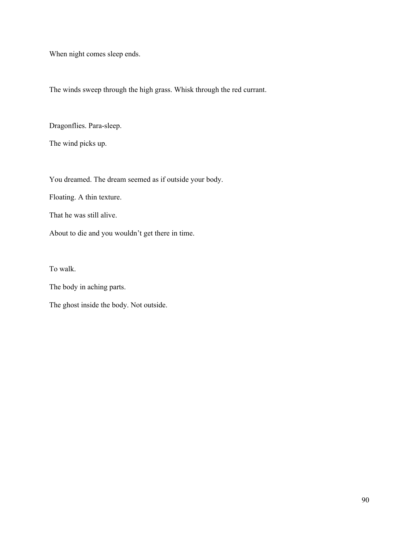When night comes sleep ends.

The winds sweep through the high grass. Whisk through the red currant.

Dragonflies. Para-sleep.

The wind picks up.

You dreamed. The dream seemed as if outside your body.

Floating. A thin texture.

That he was still alive.

About to die and you wouldn't get there in time.

To walk.

The body in aching parts.

The ghost inside the body. Not outside.